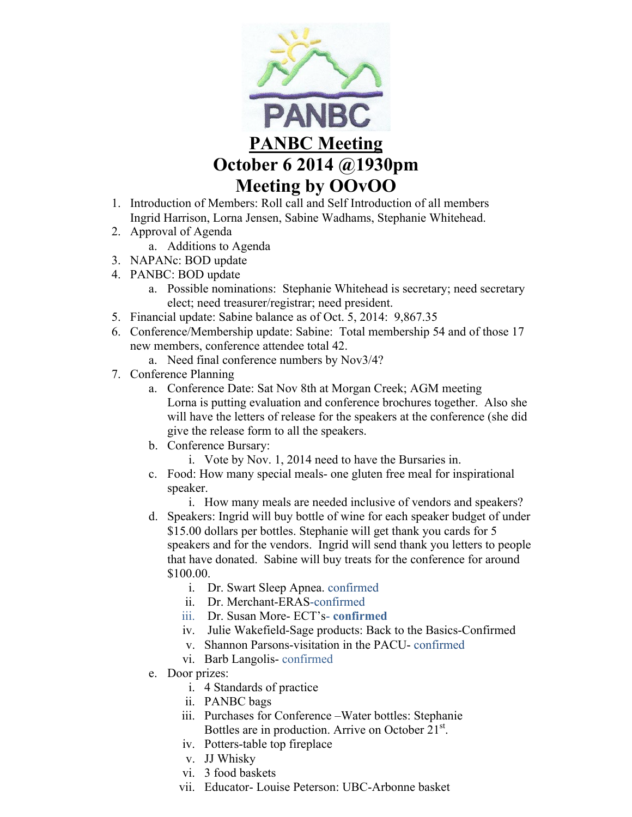

- 1. Introduction of Members: Roll call and Self Introduction of all members Ingrid Harrison, Lorna Jensen, Sabine Wadhams, Stephanie Whitehead.
- 2. Approval of Agenda
	- a. Additions to Agenda
- 3. NAPANc: BOD update
- 4. PANBC: BOD update
	- a. Possible nominations: Stephanie Whitehead is secretary; need secretary elect; need treasurer/registrar; need president.
- 5. Financial update: Sabine balance as of Oct. 5, 2014: 9,867.35
- 6. Conference/Membership update: Sabine: Total membership 54 and of those 17 new members, conference attendee total 42.
	- a. Need final conference numbers by Nov3/4?
- 7. Conference Planning
	- a. Conference Date: Sat Nov 8th at Morgan Creek; AGM meeting Lorna is putting evaluation and conference brochures together. Also she will have the letters of release for the speakers at the conference (she did give the release form to all the speakers.
	- b. Conference Bursary:
		- i. Vote by Nov. 1, 2014 need to have the Bursaries in.
	- c. Food: How many special meals- one gluten free meal for inspirational speaker.
		- i. How many meals are needed inclusive of vendors and speakers?
	- d. Speakers: Ingrid will buy bottle of wine for each speaker budget of under \$15.00 dollars per bottles. Stephanie will get thank you cards for 5 speakers and for the vendors. Ingrid will send thank you letters to people that have donated. Sabine will buy treats for the conference for around \$100.00.
		- i. Dr. Swart Sleep Apnea. confirmed
		- ii. Dr. Merchant-ERAS-confirmed
		- iii. Dr. Susan More- ECT's- **confirmed**
		- iv. Julie Wakefield-Sage products: Back to the Basics-Confirmed
		- v. Shannon Parsons-visitation in the PACU- confirmed
		- vi. Barb Langolis- confirmed
	- e. Door prizes:
		- i. 4 Standards of practice
		- ii. PANBC bags
		- iii. Purchases for Conference –Water bottles: Stephanie Bottles are in production. Arrive on October 21<sup>st</sup>.
		- iv. Potters-table top fireplace
		- v. JJ Whisky
		- vi. 3 food baskets
		- vii. Educator- Louise Peterson: UBC-Arbonne basket